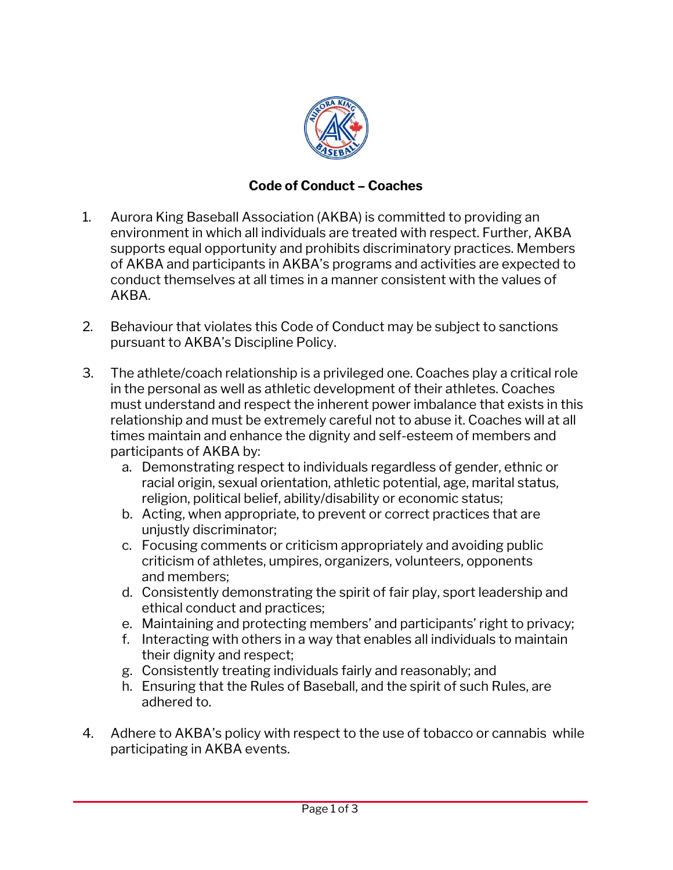

## **Code of Conduct – Coaches**

- 1. Aurora King Baseball Association (AKBA) is committed to providing an environment in which all individuals are treated with respect. Further, AKBA supports equal opportunity and prohibits discriminatory practices. Members of AKBA and participants in AKBA's programs and activities are expected to conduct themselves at all times in a manner consistent with the values of AKBA.
- 2. Behaviour that violates this Code of Conduct may be subject to sanctions pursuant to AKBA's Discipline Policy.
- 3. The athlete/coach relationship is a privileged one. Coaches play a critical role in the personal as well as athletic development of their athletes. Coaches must understand and respect the inherent power imbalance that exists in this relationship and must be extremely careful not to abuse it. Coaches will at all times maintain and enhance the dignity and self-esteem of members and participants of AKBA by:
	- a. Demonstrating respect to individuals regardless of gender, ethnic or racial origin, sexual orientation, athletic potential, age, marital status, religion, political belief, ability/disability or economic status;
	- b. Acting, when appropriate, to prevent or correct practices that are unjustly discriminator;
	- c. Focusing comments or criticism appropriately and avoiding public criticism of athletes, umpires, organizers, volunteers, opponents and members;
	- d. Consistently demonstrating the spirit of fair play, sport leadership and ethical conduct and practices;
	- e. Maintaining and protecting members' and participants' right to privacy;
	- f. Interacting with others in a way that enables all individuals to maintain their dignity and respect;
	- g. Consistently treating individuals fairly and reasonably; and
	- h. Ensuring that the Rules of Baseball, and the spirit of such Rules, are adhered to.
- 4. Adhere to AKBA's policy with respect to the use of tobacco or cannabis while participating in AKBA events.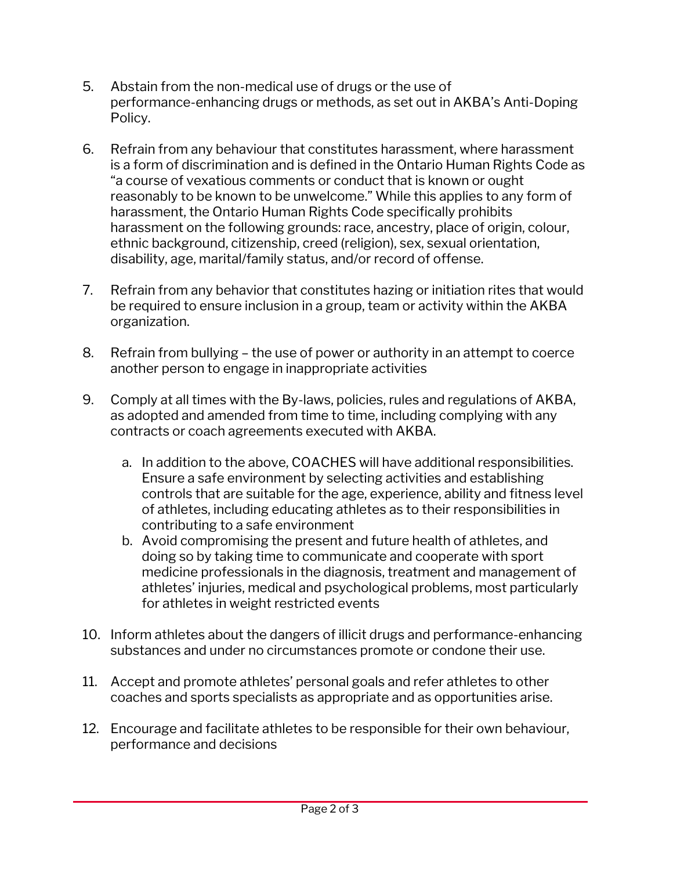- 5. Abstain from the non-medical use of drugs or the use of performance-enhancing drugs or methods, as set out in AKBA's Anti-Doping Policy.
- 6. Refrain from any behaviour that constitutes harassment, where harassment is a form of discrimination and is defined in the Ontario Human Rights Code as "a course of vexatious comments or conduct that is known or ought reasonably to be known to be unwelcome." While this applies to any form of harassment, the Ontario Human Rights Code specifically prohibits harassment on the following grounds: race, ancestry, place of origin, colour, ethnic background, citizenship, creed (religion), sex, sexual orientation, disability, age, marital/family status, and/or record of offense.
- 7. Refrain from any behavior that constitutes hazing or initiation rites that would be required to ensure inclusion in a group, team or activity within the AKBA organization.
- 8. Refrain from bullying the use of power or authority in an attempt to coerce another person to engage in inappropriate activities
- 9. Comply at all times with the By-laws, policies, rules and regulations of AKBA, as adopted and amended from time to time, including complying with any contracts or coach agreements executed with AKBA.
	- a. In addition to the above, COACHES will have additional responsibilities. Ensure a safe environment by selecting activities and establishing controls that are suitable for the age, experience, ability and fitness level of athletes, including educating athletes as to their responsibilities in contributing to a safe environment
	- b. Avoid compromising the present and future health of athletes, and doing so by taking time to communicate and cooperate with sport medicine professionals in the diagnosis, treatment and management of athletes' injuries, medical and psychological problems, most particularly for athletes in weight restricted events
- 10. Inform athletes about the dangers of illicit drugs and performance-enhancing substances and under no circumstances promote or condone their use.
- 11. Accept and promote athletes' personal goals and refer athletes to other coaches and sports specialists as appropriate and as opportunities arise.
- 12. Encourage and facilitate athletes to be responsible for their own behaviour, performance and decisions